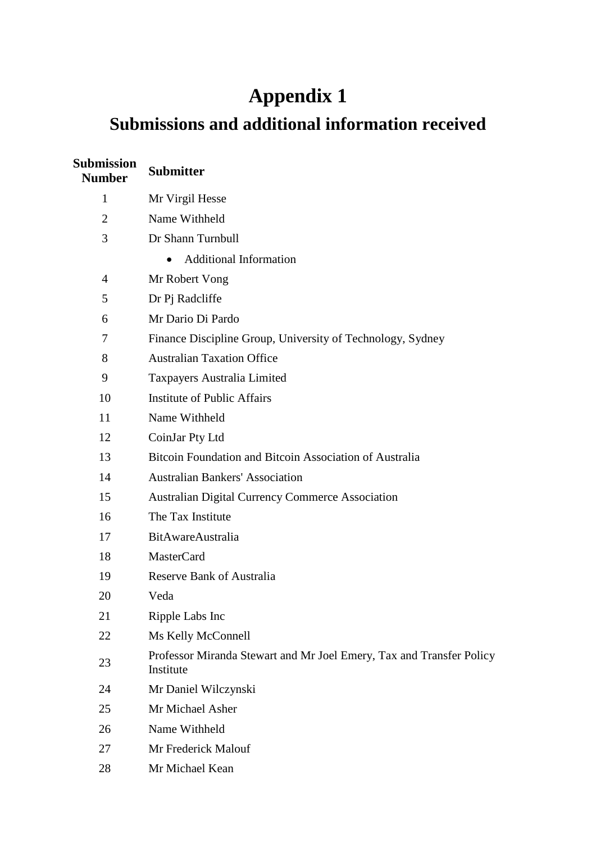## **Appendix 1**

## **Submissions and additional information received**

| <b>Submission</b><br><b>Number</b> | <b>Submitter</b>                                                                  |
|------------------------------------|-----------------------------------------------------------------------------------|
| 1                                  | Mr Virgil Hesse                                                                   |
| $\overline{2}$                     | Name Withheld                                                                     |
| 3                                  | Dr Shann Turnbull                                                                 |
|                                    | <b>Additional Information</b><br>$\bullet$                                        |
| $\overline{4}$                     | Mr Robert Vong                                                                    |
| 5                                  | Dr Pj Radcliffe                                                                   |
| 6                                  | Mr Dario Di Pardo                                                                 |
| 7                                  | Finance Discipline Group, University of Technology, Sydney                        |
| 8                                  | <b>Australian Taxation Office</b>                                                 |
| 9                                  | Taxpayers Australia Limited                                                       |
| 10                                 | <b>Institute of Public Affairs</b>                                                |
| 11                                 | Name Withheld                                                                     |
| 12                                 | CoinJar Pty Ltd                                                                   |
| 13                                 | Bitcoin Foundation and Bitcoin Association of Australia                           |
| 14                                 | <b>Australian Bankers' Association</b>                                            |
| 15                                 | <b>Australian Digital Currency Commerce Association</b>                           |
| 16                                 | The Tax Institute                                                                 |
| 17                                 | <b>BitAwareAustralia</b>                                                          |
| 18                                 | <b>MasterCard</b>                                                                 |
| 19                                 | <b>Reserve Bank of Australia</b>                                                  |
| 20                                 | Veda                                                                              |
| 21                                 | Ripple Labs Inc                                                                   |
| 22                                 | Ms Kelly McConnell                                                                |
| 23                                 | Professor Miranda Stewart and Mr Joel Emery, Tax and Transfer Policy<br>Institute |
| 24                                 | Mr Daniel Wilczynski                                                              |
| 25                                 | Mr Michael Asher                                                                  |
| 26                                 | Name Withheld                                                                     |
| 27                                 | Mr Frederick Malouf                                                               |
| 28                                 | Mr Michael Kean                                                                   |